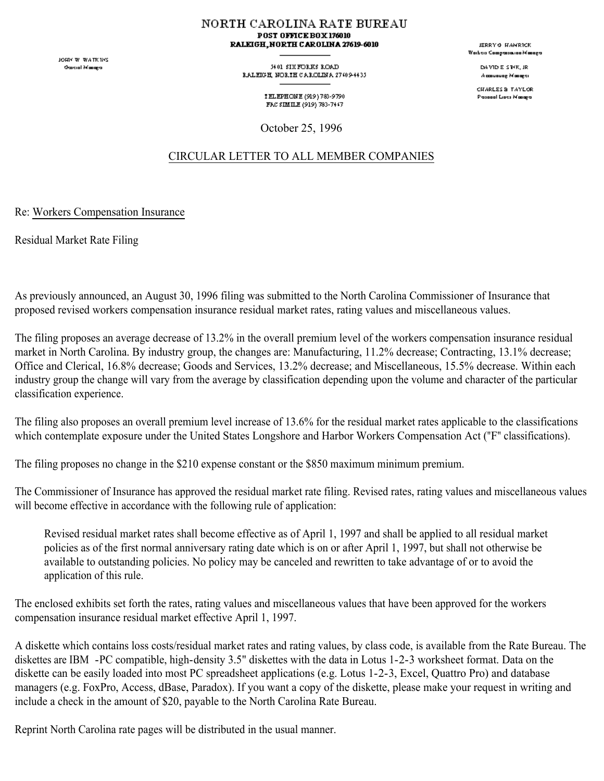JOHN W. WATKINS **Oascial Masage** 

NORTH CAROLINA RATE BUREAU POST OFFICE BOX 176010 RALEIGH, NORTH CAROLINA 27619-6010

> 54.01 SIX FORKS ROAD RALEGH, NORTH CAROLINA 27409-4435

> > TELEPHONE (919) 783-9790 FAC SIMILE (919) 783-7447

October 25, 1996

## CIRCULAR LETTER TO ALL MEMBER COMPANIES

Re: Workers Compensation Insurance

Residual Market Rate Filing

As previously announced, an August 30, 1996 filing was submitted to the North Carolina Commissioner of Insurance that proposed revised workers compensation insurance residual market rates, rating values and miscellaneous values.

The filing proposes an average decrease of 13.2% in the overall premium level of the workers compensation insurance residual market in North Carolina. By industry group, the changes are: Manufacturing, 11.2% decrease; Contracting, 13.1% decrease; Office and Clerical, 16.8% decrease; Goods and Services, 13.2% decrease; and Miscellaneous, 15.5% decrease. Within each industry group the change will vary from the average by classification depending upon the volume and character of the particular classification experience.

The filing also proposes an overall premium level increase of 13.6% for the residual market rates applicable to the classifications which contemplate exposure under the United States Longshore and Harbor Workers Compensation Act ("F" classifications).

The filing proposes no change in the \$210 expense constant or the \$850 maximum minimum premium.

The Commissioner of Insurance has approved the residual market rate filing. Revised rates, rating values and miscellaneous values will become effective in accordance with the following rule of application:

Revised residual market rates shall become effective as of April 1, 1997 and shall be applied to all residual market policies as of the first normal anniversary rating date which is on or after April 1, 1997, but shall not otherwise be available to outstanding policies. No policy may be canceled and rewritten to take advantage of or to avoid the application of this rule.

The enclosed exhibits set forth the rates, rating values and miscellaneous values that have been approved for the workers compensation insurance residual market effective April 1, 1997.

A diskette which contains loss costs/residual market rates and rating values, by class code, is available from the Rate Bureau. The diskettes are IBM -PC compatible, high-density 3.5" diskettes with the data in Lotus 1-2-3 worksheet format. Data on the diskette can be easily loaded into most PC spreadsheet applications (e.g. Lotus 1-2-3, Excel, Quattro Pro) and database managers (e.g. FoxPro, Access, dBase, Paradox). If you want a copy of the diskette, please make your request in writing and include a check in the amount of \$20, payable to the North Carolina Rate Bureau.

Reprint North Carolina rate pages will be distributed in the usual manner.

JERRY & HAMRICK .<br>Waiteis Campasauna Managa

> DAMD E STYK, JR Accounting Monoger

CHARLES & TAYLOR Passeal Lists Masage